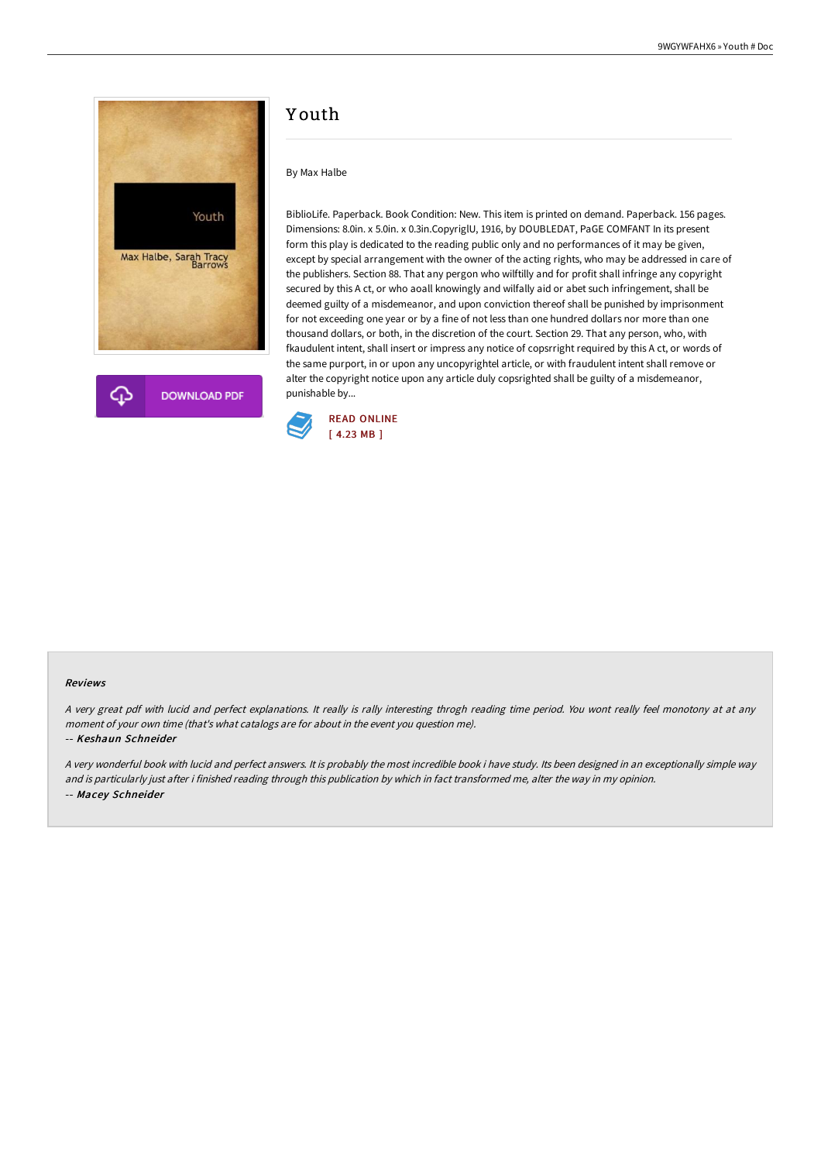



# Y outh

## By Max Halbe

BiblioLife. Paperback. Book Condition: New. This item is printed on demand. Paperback. 156 pages. Dimensions: 8.0in. x 5.0in. x 0.3in.CopyriglU, 1916, by DOUBLEDAT, PaGE COMFANT In its present form this play is dedicated to the reading public only and no performances of it may be given, except by special arrangement with the owner of the acting rights, who may be addressed in care of the publishers. Section 88. That any pergon who wilftilly and for profit shall infringe any copyright secured by this A ct, or who aoall knowingly and wilfally aid or abet such infringement, shall be deemed guilty of a misdemeanor, and upon conviction thereof shall be punished by imprisonment for not exceeding one year or by a fine of not less than one hundred dollars nor more than one thousand dollars, or both, in the discretion of the court. Section 29. That any person, who, with fkaudulent intent, shall insert or impress any notice of copsrright required by this A ct, or words of the same purport, in or upon any uncopyrightel article, or with fraudulent intent shall remove or alter the copyright notice upon any article duly copsrighted shall be guilty of a misdemeanor, punishable by...



#### Reviews

A very great pdf with lucid and perfect explanations. It really is rally interesting throgh reading time period. You wont really feel monotony at at any moment of your own time (that's what catalogs are for about in the event you question me).

#### -- Keshaun Schneider

<sup>A</sup> very wonderful book with lucid and perfect answers. It is probably the most incredible book i have study. Its been designed in an exceptionally simple way and is particularly just after i finished reading through this publication by which in fact transformed me, alter the way in my opinion. -- Macey Schneider